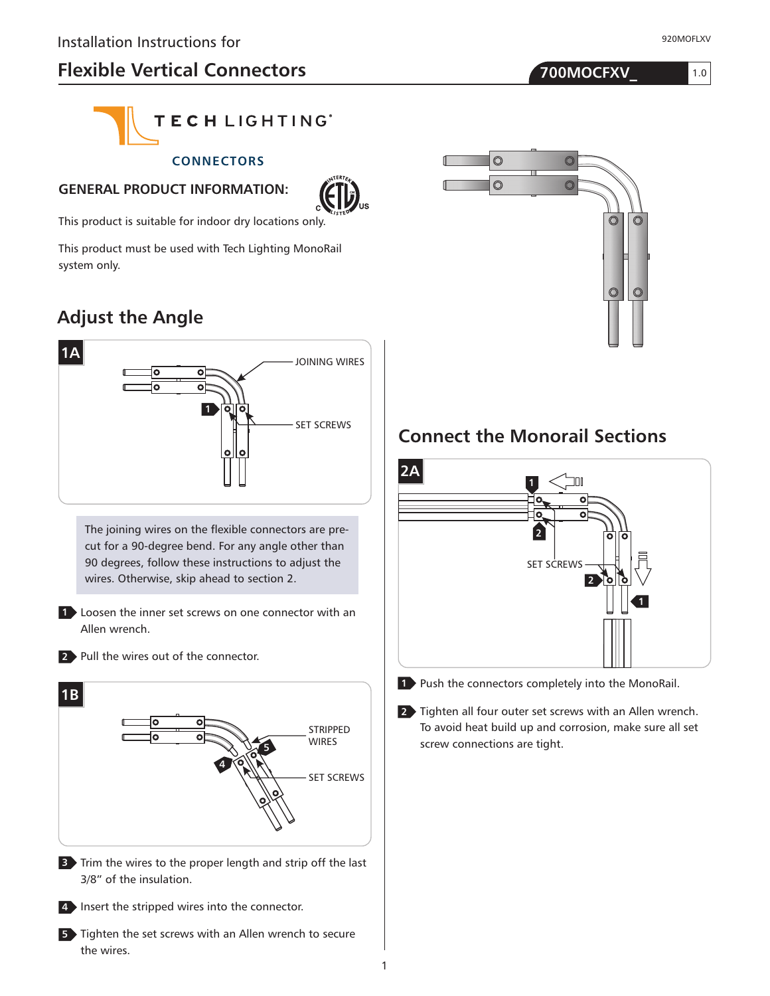# **Flexible Vertical Connectors 700MOCFXV\_**

920MOFLXV

1.0



#### **CONNECTORS**

#### **GENERAL PRODUCT INFORMATION:**



This product is suitable for indoor dry locations only.

This product must be used with Tech Lighting MonoRail system only.

# **Adjust the Angle**



The joining wires on the flexible connectors are precut for a 90-degree bend. For any angle other than 90 degrees, follow these instructions to adjust the wires. Otherwise, skip ahead to section 2.

**1** Loosen the inner set screws on one connector with an Allen wrench.

2 Pull the wires out of the connector.





**5** Tighten the set screws with an Allen wrench to secure the wires.



### **Connect the Monorail Sections**





**1** Push the connectors completely into the MonoRail.

2 Tighten all four outer set screws with an Allen wrench. To avoid heat build up and corrosion, make sure all set screw connections are tight.